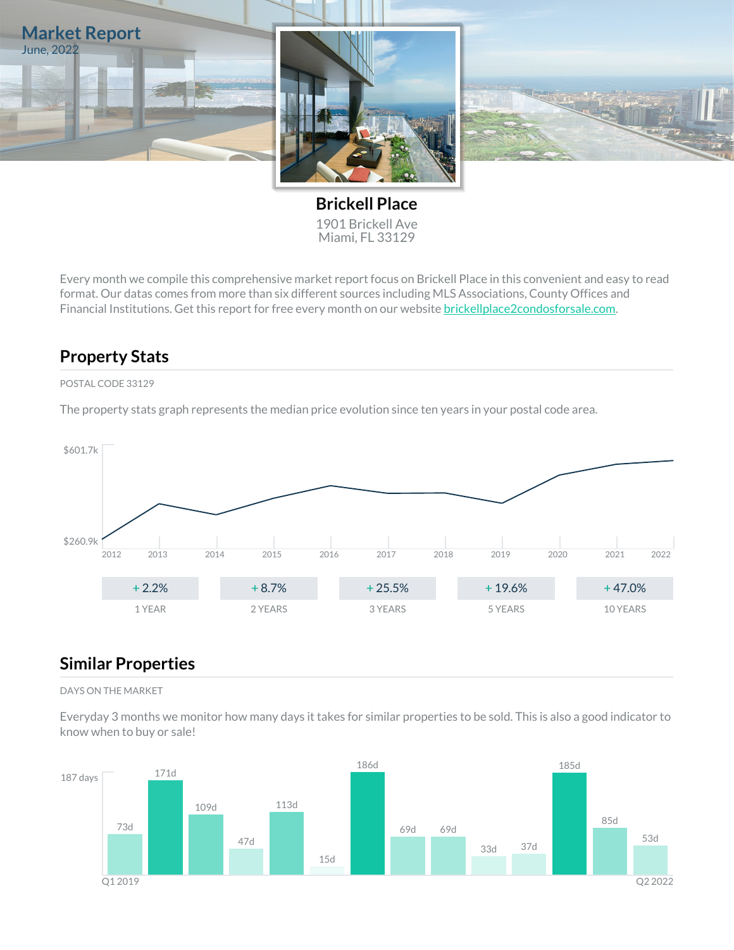

**Brickell Place** 1901 Brickell Ave Miami, FL 33129

Every month we compile this comprehensive market report focus on Brickell Place in this convenient and easy to read format. Our datas comes from more than six different sources including MLS Associations, County Offices and Financial Institutions. Get this report for free every month on our website [brickellplace2condosforsale.com.](https://brickellplace2condosforsale.com)

## **Property Stats**

#### POSTAL CODE 33129

The property stats graph represents the median price evolution since ten years in your postal code area.



### **Similar Properties**

#### DAYS ON THE MARKET

Everyday 3 months we monitor how many days it takes for similar properties to be sold. This is also a good indicator to know when to buy or sale!

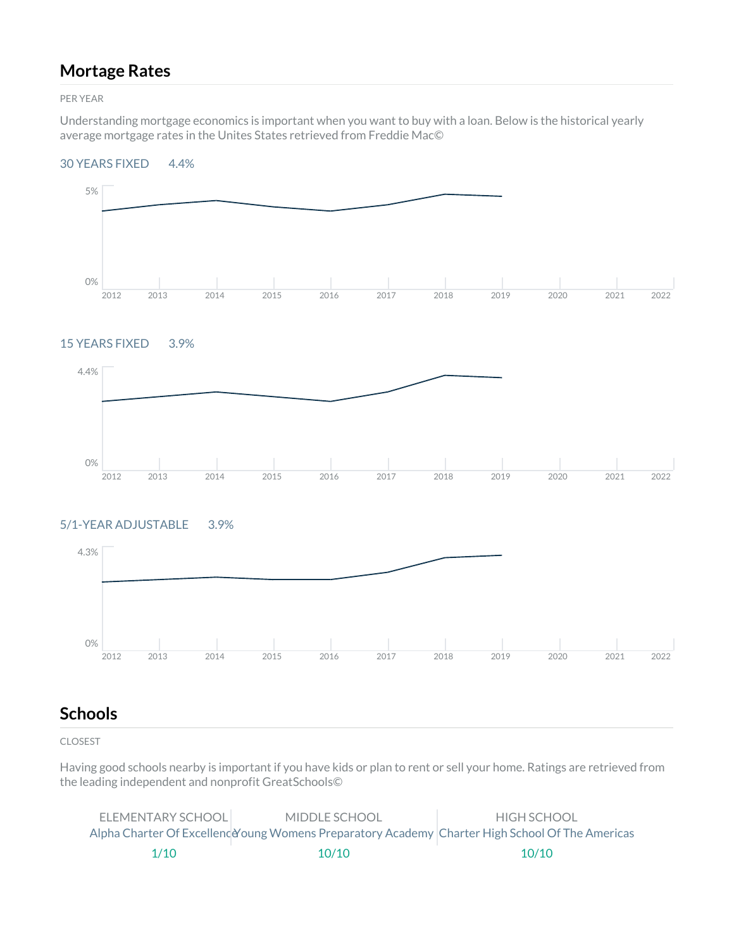## **Mortage Rates**

PER YEAR

Understanding mortgage economics is important when you want to buy with a loan. Below is the historical yearly average mortgage rates in the Unites States retrieved from Freddie Mac©

#### 30 YEARS FIXED 4.4%



### 15 YEARS FIXED 3.9%



### 5/1-YEAR ADJUSTABLE 3.9%



### **Schools**

CLOSEST

Having good schools nearby is important if you have kids or plan to rent or sell your home. Ratings are retrieved from the leading independent and nonprofit GreatSchools©

| ELEMENTARY SCHOOL | MIDDLE SCHOOL                                                                                    | HIGH SCHOOL |
|-------------------|--------------------------------------------------------------------------------------------------|-------------|
|                   | Alpha Charter Of Excellence Young Womens Preparatory Academy Charter High School Of The Americas |             |
| $1/10^{-1}$       | 10/10                                                                                            | 10/10       |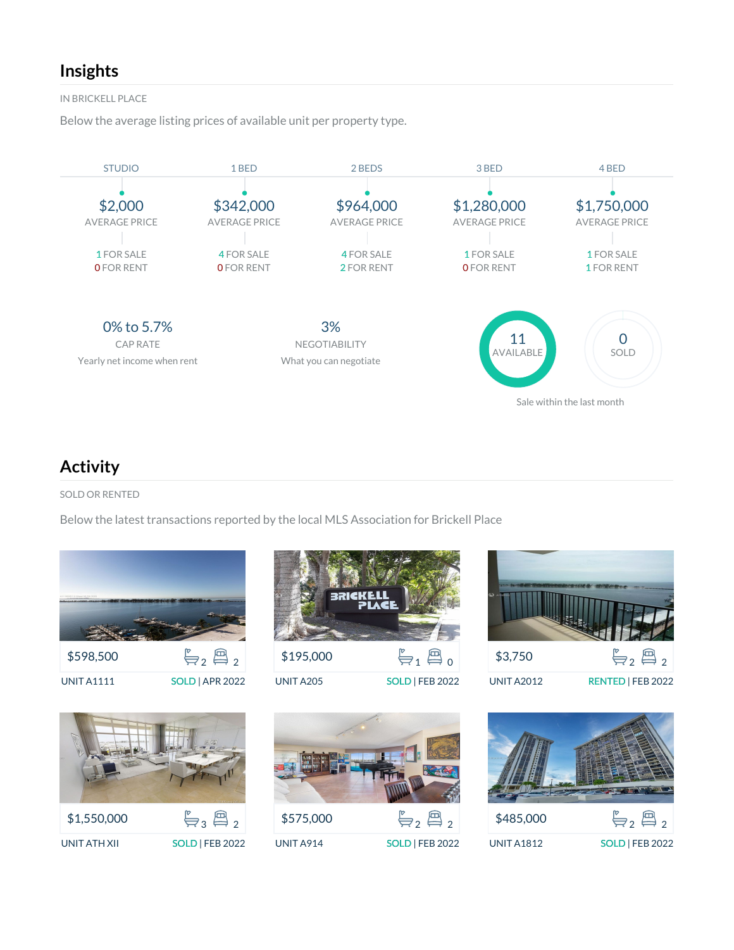## **Insights**

IN BRICKELL PLACE

Below the average listing prices of available unit per property type.



# **Activity**

SOLD OR RENTED

Below the latest transactions reported by the local MLS Association for Brickell Place







UNIT A205 SOLD | FEB 2022





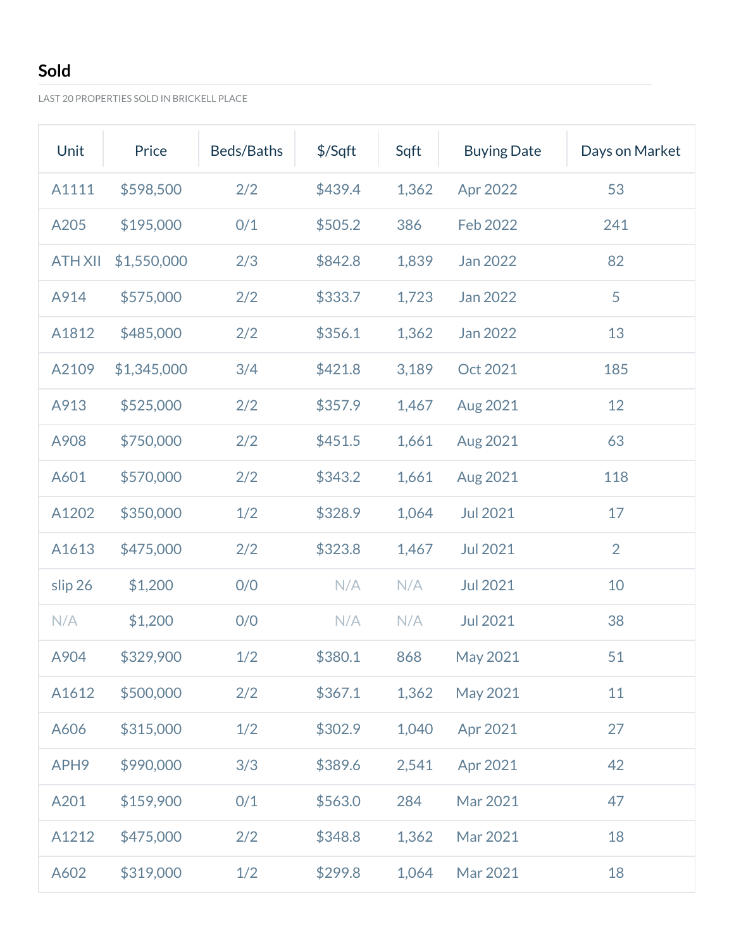# **Sold**

LAST 20 PROPERTIES SOLD IN BRICKELL PLACE

| Unit             | Price       | Beds/Baths | $$$ /Sqft | Sqft  | <b>Buying Date</b> | Days on Market |
|------------------|-------------|------------|-----------|-------|--------------------|----------------|
| A1111            | \$598,500   | 2/2        | \$439.4   | 1,362 | Apr 2022           | 53             |
| A205             | \$195,000   | 0/1        | \$505.2   | 386   | <b>Feb 2022</b>    | 241            |
| <b>ATH XII</b>   | \$1,550,000 | 2/3        | \$842.8   | 1,839 | Jan 2022           | 82             |
| A914             | \$575,000   | 2/2        | \$333.7   | 1,723 | <b>Jan 2022</b>    | 5              |
| A1812            | \$485,000   | 2/2        | \$356.1   | 1,362 | Jan 2022           | 13             |
| A2109            | \$1,345,000 | 3/4        | \$421.8   | 3,189 | Oct 2021           | 185            |
| A913             | \$525,000   | 2/2        | \$357.9   | 1,467 | Aug 2021           | 12             |
| A908             | \$750,000   | 2/2        | \$451.5   | 1,661 | Aug 2021           | 63             |
| A601             | \$570,000   | 2/2        | \$343.2   | 1,661 | Aug 2021           | 118            |
| A1202            | \$350,000   | 1/2        | \$328.9   | 1,064 | <b>Jul 2021</b>    | 17             |
| A1613            | \$475,000   | 2/2        | \$323.8   | 1,467 | <b>Jul 2021</b>    | $\overline{2}$ |
| slip 26          | \$1,200     | 0/0        | N/A       | N/A   | <b>Jul 2021</b>    | 10             |
| N/A              | \$1,200     | 0/0        | N/A       | N/A   | <b>Jul 2021</b>    | 38             |
| A904             | \$329,900   | 1/2        | \$380.1   | 868   | May 2021           | 51             |
| A1612            | \$500,000   | 2/2        | \$367.1   | 1,362 | May 2021           | 11             |
| A606             | \$315,000   | 1/2        | \$302.9   | 1,040 | Apr 2021           | 27             |
| APH <sub>9</sub> | \$990,000   | 3/3        | \$389.6   | 2,541 | Apr 2021           | 42             |
| A201             | \$159,900   | 0/1        | \$563.0   | 284   | Mar 2021           | 47             |
| A1212            | \$475,000   | 2/2        | \$348.8   | 1,362 | Mar 2021           | 18             |
| A602             | \$319,000   | 1/2        | \$299.8   | 1,064 | Mar 2021           | 18             |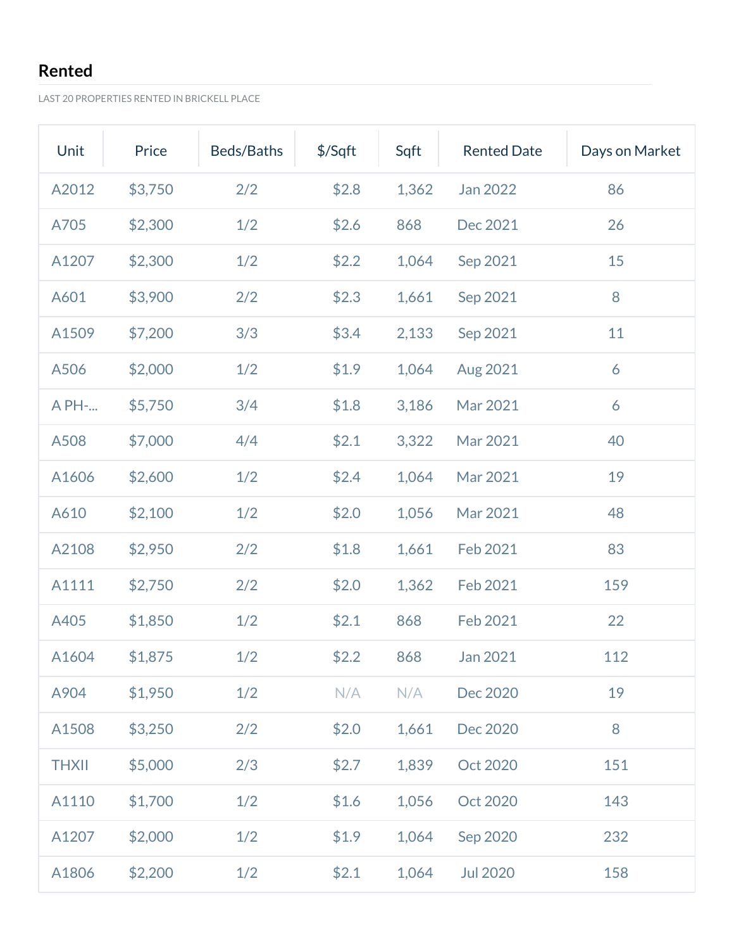# **Rented**

LAST 20 PROPERTIES RENTED IN BRICKELL PLACE

| Unit         | Price   | Beds/Baths | $$$ /Sqft | Sqft  | <b>Rented Date</b> | Days on Market |
|--------------|---------|------------|-----------|-------|--------------------|----------------|
| A2012        | \$3,750 | 2/2        | \$2.8     | 1,362 | <b>Jan 2022</b>    | 86             |
| A705         | \$2,300 | 1/2        | \$2.6     | 868   | Dec 2021           | 26             |
| A1207        | \$2,300 | 1/2        | \$2.2     | 1,064 | Sep 2021           | 15             |
| A601         | \$3,900 | 2/2        | \$2.3     | 1,661 | Sep 2021           | 8              |
| A1509        | \$7,200 | 3/3        | \$3.4     | 2,133 | Sep 2021           | 11             |
| A506         | \$2,000 | 1/2        | \$1.9     | 1,064 | Aug 2021           | 6              |
| A PH-        | \$5,750 | 3/4        | \$1.8     | 3,186 | Mar 2021           | 6              |
| A508         | \$7,000 | 4/4        | \$2.1     | 3,322 | Mar 2021           | 40             |
| A1606        | \$2,600 | 1/2        | \$2.4     | 1,064 | Mar 2021           | 19             |
| A610         | \$2,100 | 1/2        | \$2.0     | 1,056 | Mar 2021           | 48             |
| A2108        | \$2,950 | 2/2        | \$1.8     | 1,661 | Feb 2021           | 83             |
| A1111        | \$2,750 | 2/2        | \$2.0     | 1,362 | Feb 2021           | 159            |
| A405         | \$1,850 | 1/2        | \$2.1     | 868   | <b>Feb 2021</b>    | 22             |
| A1604        | \$1,875 | 1/2        | \$2.2     | 868   | Jan 2021           | 112            |
| A904         | \$1,950 | 1/2        | N/A       | N/A   | Dec 2020           | 19             |
| A1508        | \$3,250 | 2/2        | \$2.0     | 1,661 | Dec 2020           | 8              |
| <b>THXII</b> | \$5,000 | 2/3        | \$2.7     | 1,839 | Oct 2020           | 151            |
| A1110        | \$1,700 | 1/2        | \$1.6     | 1,056 | Oct 2020           | 143            |
| A1207        | \$2,000 | 1/2        | \$1.9     | 1,064 | Sep 2020           | 232            |
| A1806        | \$2,200 | 1/2        | \$2.1     | 1,064 | <b>Jul 2020</b>    | 158            |